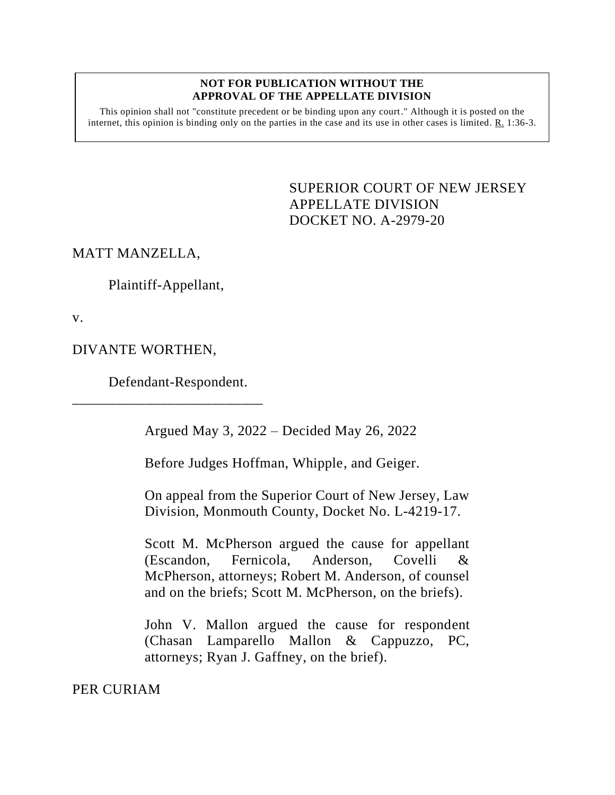## **NOT FOR PUBLICATION WITHOUT THE APPROVAL OF THE APPELLATE DIVISION**

This opinion shall not "constitute precedent or be binding upon any court." Although it is posted on the internet, this opinion is binding only on the parties in the case and its use in other cases is limited.  $R_1$  1:36-3.

> <span id="page-0-0"></span>SUPERIOR COURT OF NEW JERSEY APPELLATE DIVISION DOCKET NO. A-2979-20

MATT MANZELLA,

Plaintiff-Appellant,

v.

DIVANTE WORTHEN,

Defendant-Respondent.

\_\_\_\_\_\_\_\_\_\_\_\_\_\_\_\_\_\_\_\_\_\_\_\_\_\_

Argued May 3, 2022 – Decided May 26, 2022

Before Judges Hoffman, Whipple, and Geiger.

On appeal from the Superior Court of New Jersey, Law Division, Monmouth County, Docket No. L-4219-17.

Scott M. McPherson argued the cause for appellant (Escandon, Fernicola, Anderson, Covelli & McPherson, attorneys; Robert M. Anderson, of counsel and on the briefs; Scott M. McPherson, on the briefs).

John V. Mallon argued the cause for respondent (Chasan Lamparello Mallon & Cappuzzo, PC, attorneys; Ryan J. Gaffney, on the brief).

PER CURIAM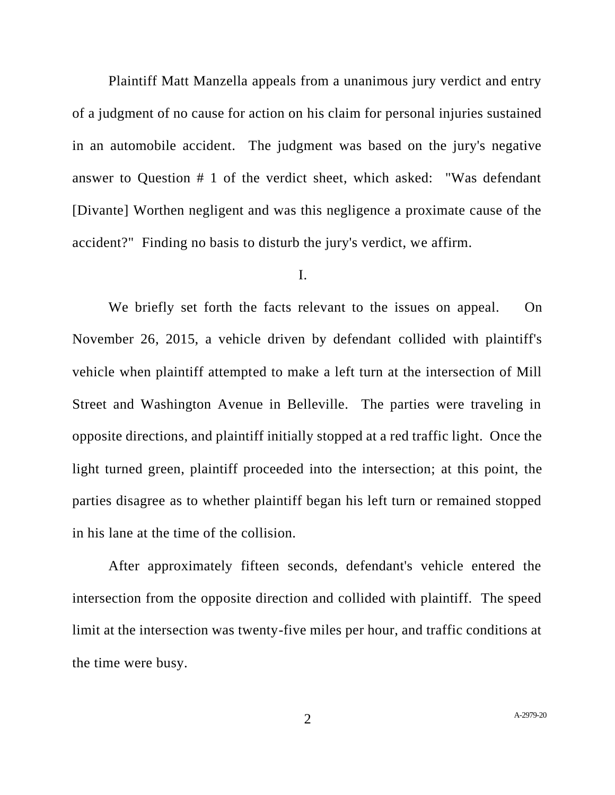Plaintiff Matt Manzella appeals from a unanimous jury verdict and entry of a judgment of no cause for action on his claim for personal injuries sustained in an automobile accident. The judgment was based on the jury's negative answer to Question # 1 of the verdict sheet, which asked: "Was defendant [Divante] Worthen negligent and was this negligence a proximate cause of the accident?" Finding no basis to disturb the jury's verdict, we affirm.

## I.

We briefly set forth the facts relevant to the issues on appeal. On November 26, 2015, a vehicle driven by defendant collided with plaintiff's vehicle when plaintiff attempted to make a left turn at the intersection of Mill Street and Washington Avenue in Belleville. The parties were traveling in opposite directions, and plaintiff initially stopped at a red traffic light. Once the light turned green, plaintiff proceeded into the intersection; at this point, the parties disagree as to whether plaintiff began his left turn or remained stopped in his lane at the time of the collision.

After approximately fifteen seconds, defendant's vehicle entered the intersection from the opposite direction and collided with plaintiff. The speed limit at the intersection was twenty-five miles per hour, and traffic conditions at the time were busy.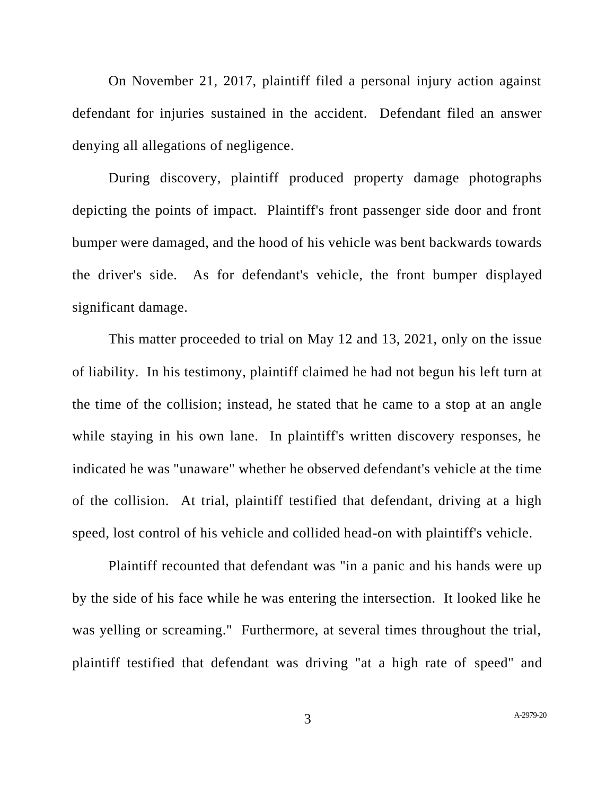On November 21, 2017, plaintiff filed a personal injury action against defendant for injuries sustained in the accident. Defendant filed an answer denying all allegations of negligence.

During discovery, plaintiff produced property damage photographs depicting the points of impact. Plaintiff's front passenger side door and front bumper were damaged, and the hood of his vehicle was bent backwards towards the driver's side. As for defendant's vehicle, the front bumper displayed significant damage.

This matter proceeded to trial on May 12 and 13, 2021, only on the issue of liability. In his testimony, plaintiff claimed he had not begun his left turn at the time of the collision; instead, he stated that he came to a stop at an angle while staying in his own lane. In plaintiff's written discovery responses, he indicated he was "unaware" whether he observed defendant's vehicle at the time of the collision. At trial, plaintiff testified that defendant, driving at a high speed, lost control of his vehicle and collided head-on with plaintiff's vehicle.

Plaintiff recounted that defendant was "in a panic and his hands were up by the side of his face while he was entering the intersection. It looked like he was yelling or screaming." Furthermore, at several times throughout the trial, plaintiff testified that defendant was driving "at a high rate of speed" and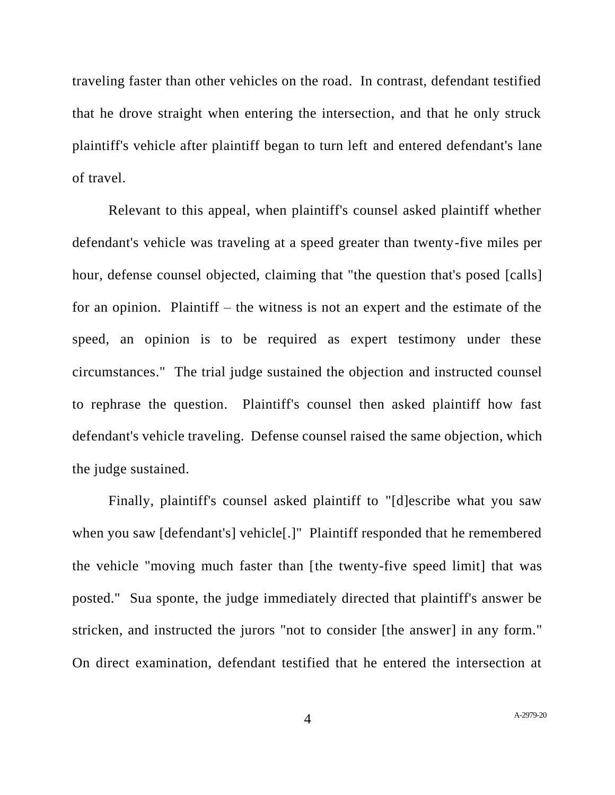traveling faster than other vehicles on the road. In contrast, defendant testified that he drove straight when entering the intersection, and that he only struck plaintiff's vehicle after plaintiff began to turn left and entered defendant's lane of travel.

Relevant to this appeal, when plaintiff's counsel asked plaintiff whether defendant's vehicle was traveling at a speed greater than twenty-five miles per hour, defense counsel objected, claiming that "the question that's posed [calls] for an opinion. Plaintiff – the witness is not an expert and the estimate of the speed, an opinion is to be required as expert testimony under these circumstances." The trial judge sustained the objection and instructed counsel to rephrase the question. Plaintiff's counsel then asked plaintiff how fast defendant's vehicle traveling. Defense counsel raised the same objection, which the judge sustained.

Finally, plaintiff's counsel asked plaintiff to "[d]escribe what you saw when you saw [defendant's] vehicle[.]" Plaintiff responded that he remembered the vehicle "moving much faster than [the twenty-five speed limit] that was posted." Sua sponte, the judge immediately directed that plaintiff's answer be stricken, and instructed the jurors "not to consider [the answer] in any form." On direct examination, defendant testified that he entered the intersection at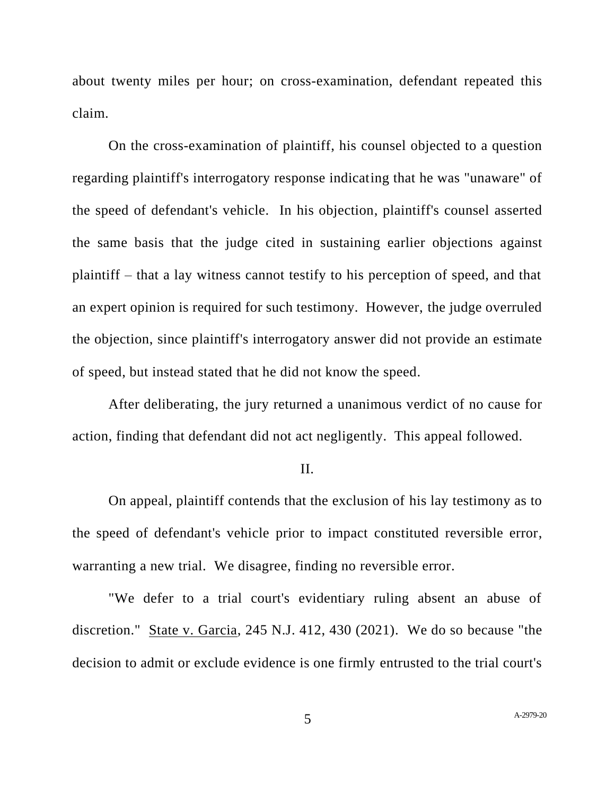about twenty miles per hour; on cross-examination, defendant repeated this claim.

On the cross-examination of plaintiff, his counsel objected to a question regarding plaintiff's interrogatory response indicating that he was "unaware" of the speed of defendant's vehicle. In his objection, plaintiff's counsel asserted the same basis that the judge cited in sustaining earlier objections against plaintiff – that a lay witness cannot testify to his perception of speed, and that an expert opinion is required for such testimony. However, the judge overruled the objection, since plaintiff's interrogatory answer did not provide an estimate of speed, but instead stated that he did not know the speed.

After deliberating, the jury returned a unanimous verdict of no cause for action, finding that defendant did not act negligently. This appeal followed.

## II.

On appeal, plaintiff contends that the exclusion of his lay testimony as to the speed of defendant's vehicle prior to impact constituted reversible error, warranting a new trial. We disagree, finding no reversible error.

"We defer to a trial court's evidentiary ruling absent an abuse of discretion." State v. Garcia, 245 N.J. 412, 430 (2021). We do so because "the decision to admit or exclude evidence is one firmly entrusted to the trial court's

5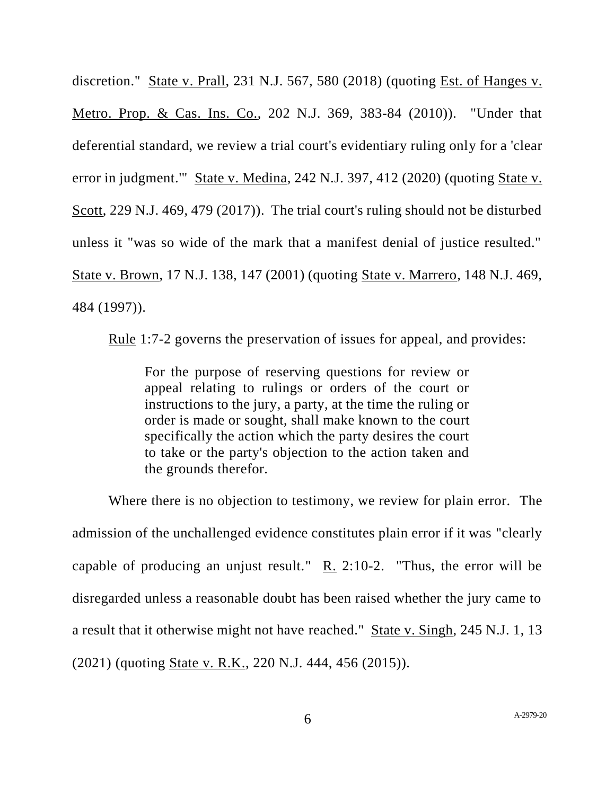discretion." State v. Prall, 231 N.J. 567, 580 (2018) (quoting Est. of Hanges v. Metro. Prop. & Cas. Ins. Co., 202 N.J. 369, 383-84 (2010)). "Under that deferential standard, we review a trial court's evidentiary ruling only for a 'clear error in judgment.'" State v. Medina, 242 N.J. 397, 412 (2020) (quoting State v. Scott, 229 N.J. 469, 479 (2017)). The trial court's ruling should not be disturbed unless it "was so wide of the mark that a manifest denial of justice resulted." State v. Brown, 17 N.J. 138, 147 (2001) (quoting State v. Marrero, 148 N.J. 469, 484 (1997)).

Rule 1:7-2 governs the preservation of issues for appeal, and provides:

For the purpose of reserving questions for review or appeal relating to rulings or orders of the court or instructions to the jury, a party, at the time the ruling or order is made or sought, shall make known to the court specifically the action which the party desires the court to take or the party's objection to the action taken and the grounds therefor.

Where there is no objection to testimony, we review for plain error. The admission of the unchallenged evidence constitutes plain error if it was "clearly capable of producing an unjust result."  $R_2$  2:10-2. "Thus, the error will be disregarded unless a reasonable doubt has been raised whether the jury came to a result that it otherwise might not have reached." State v. Singh, 245 N.J. 1, 13 (2021) (quoting State v. R.K., 220 N.J. 444, 456 (2015)).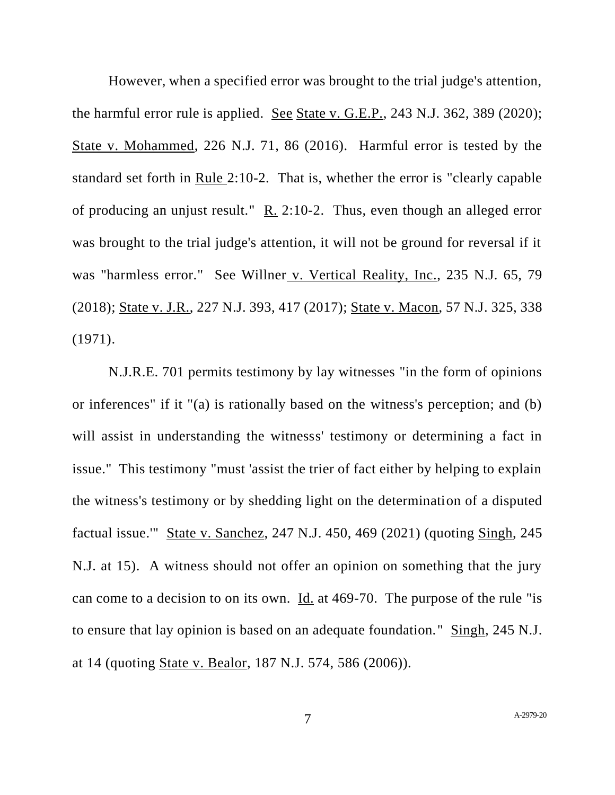However, when a specified error was brought to the trial judge's attention, the harmful error rule is applied. See State v. G.E.P., 243 N.J. 362, 389 (2020); State v. Mohammed, 226 N.J. 71, 86 (2016). Harmful error is tested by the standard set forth in Rule 2:10-2. That is, whether the error is "clearly capable of producing an unjust result." R. 2:10-2. Thus, even though an alleged error was brought to the trial judge's attention, it will not be ground for reversal if it was "harmless error." See Willner v. Vertical Reality, Inc., 235 N.J. 65, 79 (2018); State v. J.R., 227 N.J. 393, 417 (2017); State v. Macon, 57 N.J. 325, 338 (1971).

[N.J.R.E.](https://1.next.westlaw.com/Link/Document/FullText?findType=L&pubNum=1003066&cite=NJSTREVNJRE701&originatingDoc=I7ac133208dbd11eca4e4908e984ec08d&refType=LQ&originationContext=document&transitionType=DocumentItem&ppcid=1dab09a24bc74eba8c0ff16489858def&contextData=(sc.Folder*cid.d41c801c7c874304a48a85d396759657*oc.Keycite)) 701 permits testimony by lay witnesses "in the form of opinions or inferences" if it "(a) is rationally based on the witness's perception; and (b) will assist in understanding the witnesss' testimony or determining a fact in issue." This testimony "must 'assist the trier of fact either by helping to explain the witness's testimony or by shedding light on the determination of a disputed factual issue.'" State v. Sanchez, 247 N.J. 450, 469 (2021) (quoting Singh, 245 N.J. at 15). A witness should not offer an opinion on something that the jury can come to a decision to on its own. Id. at [469-70.](https://1.next.westlaw.com/Link/Document/FullText?findType=Y&serNum=2054153488&pubNum=0000583&originatingDoc=I7ac133208dbd11eca4e4908e984ec08d&refType=RP&fi=co_pp_sp_583_469&originationContext=document&transitionType=DocumentItem&ppcid=1dab09a24bc74eba8c0ff16489858def&contextData=(sc.Folder*cid.d41c801c7c874304a48a85d396759657*oc.Keycite)#co_pp_sp_583_469) The purpose of the rule "is to ensure that lay opinion is based on an adequate foundation." [Singh,](https://1.next.westlaw.com/Link/Document/FullText?findType=Y&serNum=2052806224&pubNum=0000583&originatingDoc=I7ac133208dbd11eca4e4908e984ec08d&refType=RP&fi=co_pp_sp_583_14&originationContext=document&transitionType=DocumentItem&ppcid=1dab09a24bc74eba8c0ff16489858def&contextData=(sc.Folder*cid.d41c801c7c874304a48a85d396759657*oc.Keycite)#co_pp_sp_583_14) 245 N.J. at [14](https://1.next.westlaw.com/Link/Document/FullText?findType=Y&serNum=2052806224&pubNum=0000583&originatingDoc=I7ac133208dbd11eca4e4908e984ec08d&refType=RP&fi=co_pp_sp_583_14&originationContext=document&transitionType=DocumentItem&ppcid=1dab09a24bc74eba8c0ff16489858def&contextData=(sc.Folder*cid.d41c801c7c874304a48a85d396759657*oc.Keycite)#co_pp_sp_583_14) (quoting State v. Bealor, 187 N.J. 574, 586 (2006)).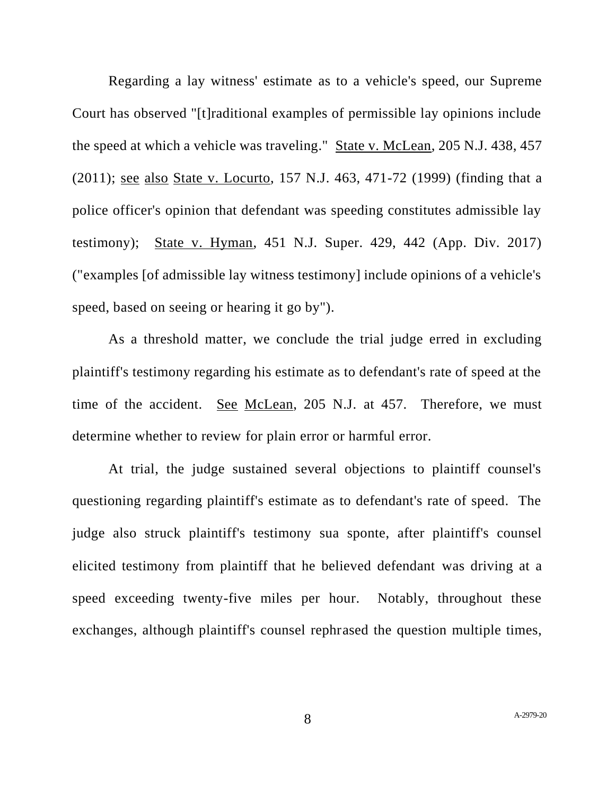Regarding a lay witness' estimate as to a vehicle's speed, our Supreme Court has observed "[t]raditional examples of permissible lay opinions include the speed at which a vehicle was traveling." State v. McLean, 205 N.J. 438, 457 (2011); see also State v. Locurto, 157 N.J. 463, 471-72 (1999) (finding that a police officer's opinion that defendant was speeding constitutes admissible lay testimony); State v. Hyman, 451 N.J. Super. 429, 442 (App. Div. 2017) ("examples [of admissible lay witness testimony] include opinions of a vehicle's speed, based on seeing or hearing it go by").

As a threshold matter, we conclude the trial judge erred in excluding plaintiff's testimony regarding his estimate as to defendant's rate of speed at the time of the accident. See McLean, 205 N.J. at 457. Therefore, we must determine whether to review for plain error or harmful error.

At trial, the judge sustained several objections to plaintiff counsel's questioning regarding plaintiff's estimate as to defendant's rate of speed. The judge also struck plaintiff's testimony sua sponte, after plaintiff's counsel elicited testimony from plaintiff that he believed defendant was driving at a speed exceeding twenty-five miles per hour. Notably, throughout these exchanges, although plaintiff's counsel rephrased the question multiple times,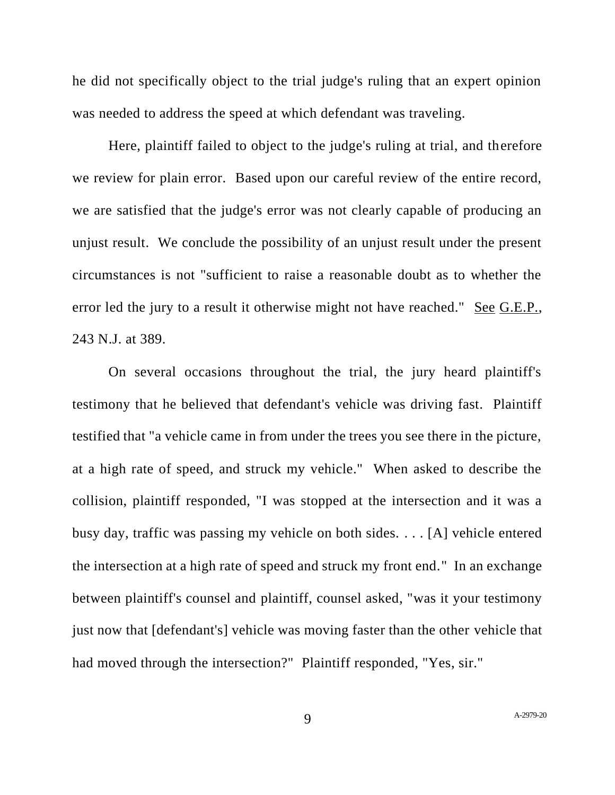he did not specifically object to the trial judge's ruling that an expert opinion was needed to address the speed at which defendant was traveling.

Here, plaintiff failed to object to the judge's ruling at trial, and therefore we review for plain error. Based upon our careful review of the entire record, we are satisfied that the judge's error was not clearly capable of producing an unjust result. We conclude the possibility of an unjust result under the present circumstances is not "sufficient to raise a reasonable doubt as to whether the error led the jury to a result it otherwise might not have reached." See G.E.P., 243 N.J. at 389.

On several occasions throughout the trial, the jury heard plaintiff's testimony that he believed that defendant's vehicle was driving fast. Plaintiff testified that "a vehicle came in from under the trees you see there in the picture, at a high rate of speed, and struck my vehicle." When asked to describe the collision, plaintiff responded, "I was stopped at the intersection and it was a busy day, traffic was passing my vehicle on both sides. . . . [A] vehicle entered the intersection at a high rate of speed and struck my front end." In an exchange between plaintiff's counsel and plaintiff, counsel asked, "was it your testimony just now that [defendant's] vehicle was moving faster than the other vehicle that had moved through the intersection?" Plaintiff responded, "Yes, sir."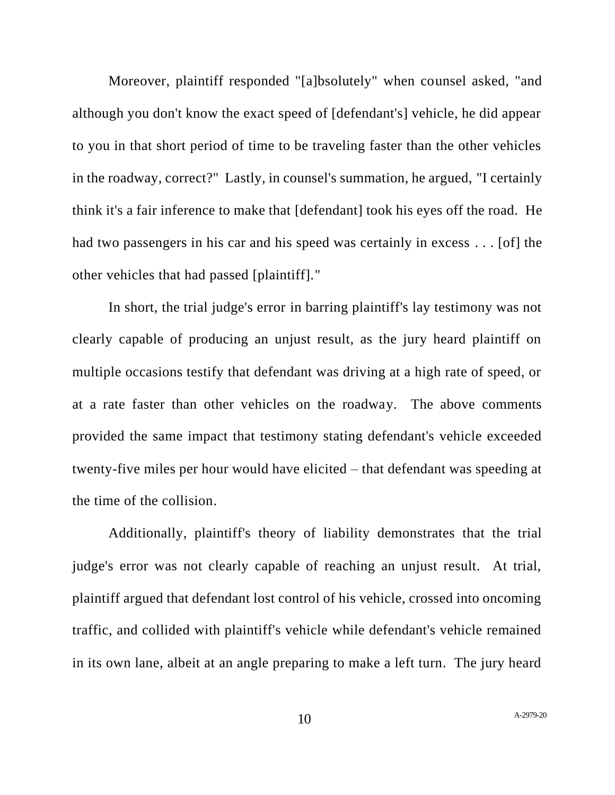Moreover, plaintiff responded "[a]bsolutely" when counsel asked, "and although you don't know the exact speed of [defendant's] vehicle, he did appear to you in that short period of time to be traveling faster than the other vehicles in the roadway, correct?" Lastly, in counsel's summation, he argued, "I certainly think it's a fair inference to make that [defendant] took his eyes off the road. He had two passengers in his car and his speed was certainly in excess . . . [of] the other vehicles that had passed [plaintiff]."

In short, the trial judge's error in barring plaintiff's lay testimony was not clearly capable of producing an unjust result, as the jury heard plaintiff on multiple occasions testify that defendant was driving at a high rate of speed, or at a rate faster than other vehicles on the roadway. The above comments provided the same impact that testimony stating defendant's vehicle exceeded twenty-five miles per hour would have elicited – that defendant was speeding at the time of the collision.

Additionally, plaintiff's theory of liability demonstrates that the trial judge's error was not clearly capable of reaching an unjust result. At trial, plaintiff argued that defendant lost control of his vehicle, crossed into oncoming traffic, and collided with plaintiff's vehicle while defendant's vehicle remained in its own lane, albeit at an angle preparing to make a left turn. The jury heard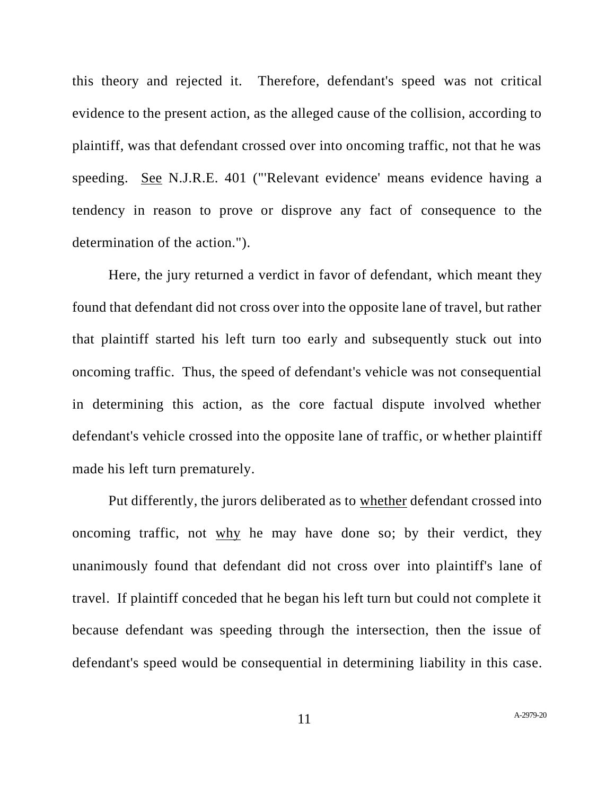this theory and rejected it. Therefore, defendant's speed was not critical evidence to the present action, as the alleged cause of the collision, according to plaintiff, was that defendant crossed over into oncoming traffic, not that he was speeding. See N.J.R.E. 401 ("'Relevant evidence' means evidence having a tendency in reason to prove or disprove any fact of consequence to the determination of the action.").

Here, the jury returned a verdict in favor of defendant, which meant they found that defendant did not cross over into the opposite lane of travel, but rather that plaintiff started his left turn too early and subsequently stuck out into oncoming traffic. Thus, the speed of defendant's vehicle was not consequential in determining this action, as the core factual dispute involved whether defendant's vehicle crossed into the opposite lane of traffic, or whether plaintiff made his left turn prematurely.

Put differently, the jurors deliberated as to whether defendant crossed into oncoming traffic, not why he may have done so; by their verdict, they unanimously found that defendant did not cross over into plaintiff's lane of travel. If plaintiff conceded that he began his left turn but could not complete it because defendant was speeding through the intersection, then the issue of defendant's speed would be consequential in determining liability in this case.